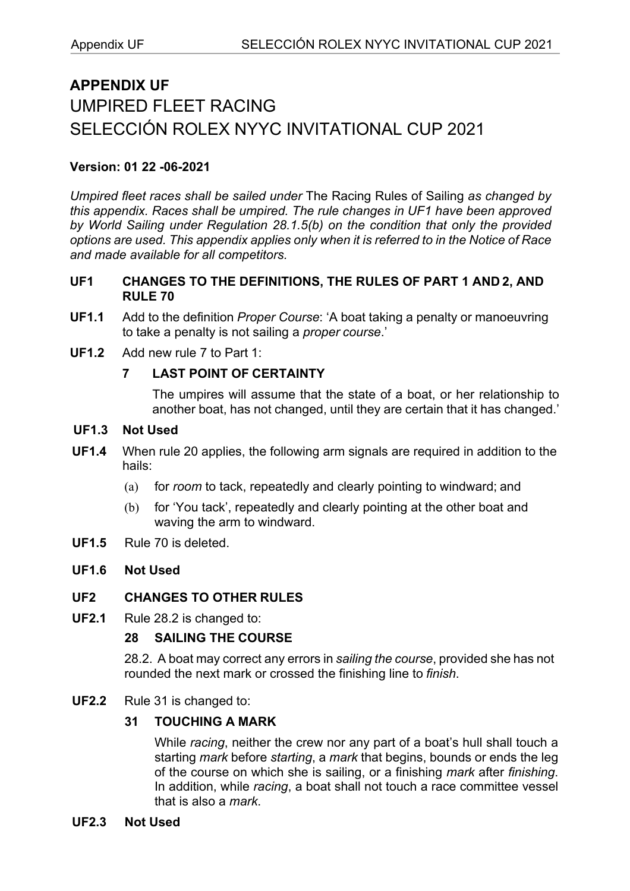# **APPENDIX UF** UMPIRED FLEET RACING SELECCIÓN ROLEX NYYC INVITATIONAL CUP 2021

## **Version: 01 22 -06-2021**

*Umpired fleet races shall be sailed under* The Racing Rules of Sailing *as changed by this appendix. Races shall be umpired. The rule changes in UF1 have been approved by World Sailing under Regulation 28.1.5(b) on the condition that only the provided options are used. This appendix applies only when it is referred to in the Notice of Race and made available for all competitors.*

## **UF1 CHANGES TO THE DEFINITIONS, THE RULES OF PART 1 AND 2, AND RULE 70**

- **UF1.1** Add to the definition *Proper Course*: 'A boat taking a penalty or manoeuvring to take a penalty is not sailing a *proper course*.'
- **UF1.2** Add new rule 7 to Part 1:

## **7 LAST POINT OF CERTAINTY**

The umpires will assume that the state of a boat, or her relationship to another boat, has not changed, until they are certain that it has changed.'

## **UF1.3 Not Used**

- **UF1.4** When rule 20 applies, the following arm signals are required in addition to the hails:
	- (a) for *room* to tack, repeatedly and clearly pointing to windward; and
	- (b) for 'You tack', repeatedly and clearly pointing at the other boat and waving the arm to windward.
- **UF1.5** Rule 70 is deleted.

# **UF1.6 Not Used**

#### **UF2 CHANGES TO OTHER RULES**

**UF2.1** Rule 28.2 is changed to:

# **28 SAILING THE COURSE**

28.2. A boat may correct any errors in *sailing the course*, provided she has not rounded the next mark or crossed the finishing line to *finish*.

#### **UF2.2** Rule 31 is changed to:

# **31 TOUCHING A MARK**

While *racing*, neither the crew nor any part of a boat's hull shall touch a starting *mark* before *starting*, a *mark* that begins, bounds or ends the leg of the course on which she is sailing, or a finishing *mark* after *finishing*. In addition, while *racing*, a boat shall not touch a race committee vessel that is also a *mark*.

#### **UF2.3 Not Used**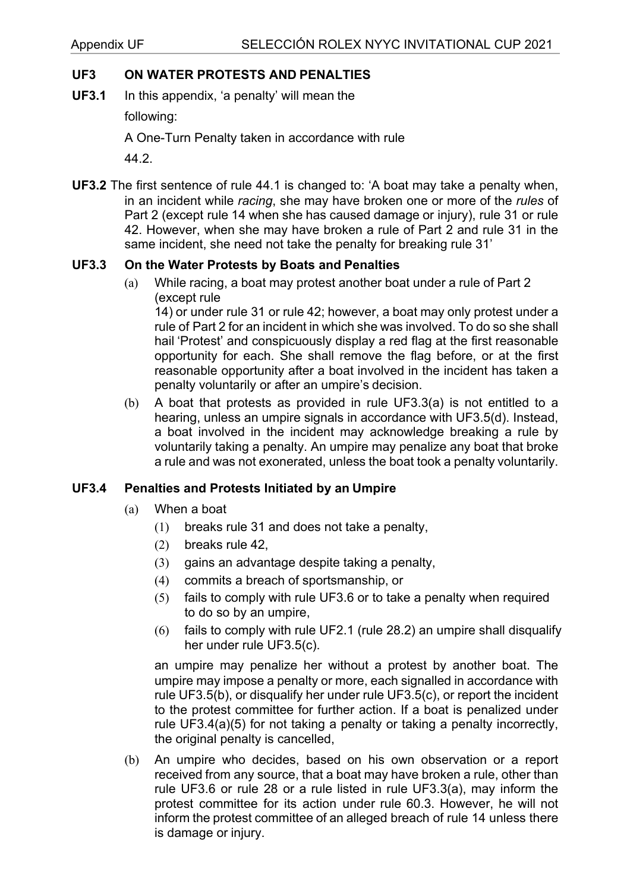# **UF3 ON WATER PROTESTS AND PENALTIES**

**UF3.1** In this appendix, 'a penalty' will mean the

following:

A One-Turn Penalty taken in accordance with rule

44.2.

**UF3.2** The first sentence of rule 44.1 is changed to: 'A boat may take a penalty when, in an incident while *racing*, she may have broken one or more of the *rules* of Part 2 (except rule 14 when she has caused damage or injury), rule 31 or rule 42. However, when she may have broken a rule of Part 2 and rule 31 in the same incident, she need not take the penalty for breaking rule 31'

## **UF3.3 On the Water Protests by Boats and Penalties**

(a) While racing, a boat may protest another boat under a rule of Part 2 (except rule

14) or under rule 31 or rule 42; however, a boat may only protest under a rule of Part 2 for an incident in which she was involved. To do so she shall hail 'Protest' and conspicuously display a red flag at the first reasonable opportunity for each. She shall remove the flag before, or at the first reasonable opportunity after a boat involved in the incident has taken a penalty voluntarily or after an umpire's decision.

(b) A boat that protests as provided in rule UF3.3(a) is not entitled to a hearing, unless an umpire signals in accordance with UF3.5(d). Instead, a boat involved in the incident may acknowledge breaking a rule by voluntarily taking a penalty. An umpire may penalize any boat that broke a rule and was not exonerated, unless the boat took a penalty voluntarily.

#### **UF3.4 Penalties and Protests Initiated by an Umpire**

- (a) When a boat
	- (1) breaks rule 31 and does not take a penalty,
	- (2) breaks rule 42,
	- (3) gains an advantage despite taking a penalty,
	- (4) commits a breach of sportsmanship, or
	- (5) fails to comply with rule UF3.6 or to take a penalty when required to do so by an umpire,
	- (6) fails to comply with rule UF2.1 (rule 28.2) an umpire shall disqualify her under rule UF3.5(c).

an umpire may penalize her without a protest by another boat. The umpire may impose a penalty or more, each signalled in accordance with rule UF3.5(b), or disqualify her under rule UF3.5(c), or report the incident to the protest committee for further action. If a boat is penalized under rule UF3.4(a)(5) for not taking a penalty or taking a penalty incorrectly, the original penalty is cancelled,

(b) An umpire who decides, based on his own observation or a report received from any source, that a boat may have broken a rule, other than rule UF3.6 or rule 28 or a rule listed in rule UF3.3(a), may inform the protest committee for its action under rule 60.3. However, he will not inform the protest committee of an alleged breach of rule 14 unless there is damage or injury.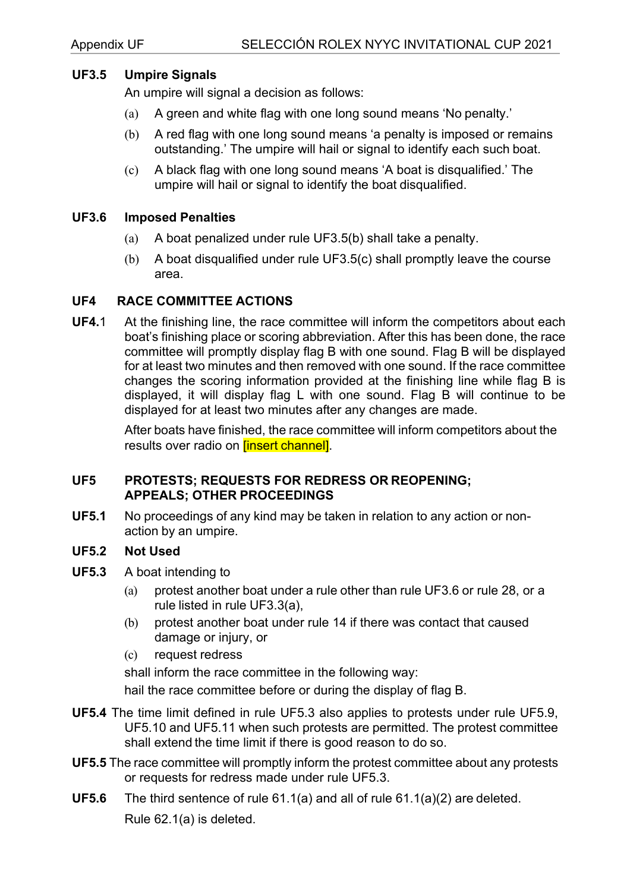#### **UF3.5 Umpire Signals**

An umpire will signal a decision as follows:

- (a) A green and white flag with one long sound means 'No penalty.'
- (b) A red flag with one long sound means 'a penalty is imposed or remains outstanding.' The umpire will hail or signal to identify each such boat.
- (c) A black flag with one long sound means 'A boat is disqualified.' The umpire will hail or signal to identify the boat disqualified.

#### **UF3.6 Imposed Penalties**

- (a) A boat penalized under rule UF3.5(b) shall take a penalty.
- (b) A boat disqualified under rule UF3.5(c) shall promptly leave the course area.

#### **UF4 RACE COMMITTEE ACTIONS**

**UF4.**1 At the finishing line, the race committee will inform the competitors about each boat's finishing place or scoring abbreviation. After this has been done, the race committee will promptly display flag B with one sound. Flag B will be displayed for at least two minutes and then removed with one sound. If the race committee changes the scoring information provided at the finishing line while flag B is displayed, it will display flag L with one sound. Flag B will continue to be displayed for at least two minutes after any changes are made.

> After boats have finished, the race committee will inform competitors about the results over radio on **[insert channel]**.

#### **UF5 PROTESTS; REQUESTS FOR REDRESS OR REOPENING; APPEALS; OTHER PROCEEDINGS**

**UF5.1** No proceedings of any kind may be taken in relation to any action or nonaction by an umpire.

#### **UF5.2 Not Used**

- **UF5.3** A boat intending to
	- (a) protest another boat under a rule other than rule UF3.6 or rule 28, or a rule listed in rule UF3.3(a),
	- (b) protest another boat under rule 14 if there was contact that caused damage or injury, or
	- (c) request redress

shall inform the race committee in the following way:

hail the race committee before or during the display of flag B.

- **UF5.4** The time limit defined in rule UF5.3 also applies to protests under rule UF5.9, UF5.10 and UF5.11 when such protests are permitted. The protest committee shall extend the time limit if there is good reason to do so.
- **UF5.5** The race committee will promptly inform the protest committee about any protests or requests for redress made under rule UF5.3.
- **UF5.6** The third sentence of rule 61.1(a) and all of rule 61.1(a)(2) are deleted. Rule 62.1(a) is deleted.